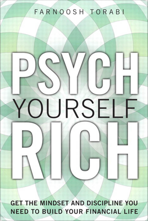### FARNOOSH TORABI

**GET THE MINDSET AND DISCIPLINE YOU NEED TO BUILD YOUR FINANCIAL LIFE** 

YOURSELF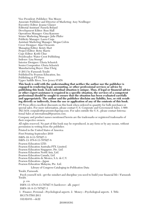Vice President, Publisher: Tim Moore Associate Publisher and Director of Marketing: Amy Neidlinger Executive Editor: Jeanne Glasser Editorial Assistant: Pamela Boland Development Editor: Russ Hall Operations Manager: Gina Kanouse Senior Marketing Manager: Julie Phifer Publicity Manager: Laura Czaja Assistant Marketing Manager: Megan Colvin Cover Designer: Alan Clements Managing Editor: Kristy Hart Project Editor: Betsy Harris Copy Editor: Keith Cline Proofreader: Water Crest Publishing Indexer: Lisa Stumpf Interior Designer: Gloria Schurick Senior Compositor: Gloria Schurick Manufacturing Buyer: Dan Uhrig © 2011 by Farnoosh Torabi Published by Pearson Education, Inc. Publishing as FT Press Upper Saddle River, New Jersey 07458

**This book is sold with the understanding that neither the author nor the publisher is engaged in rendering legal, accounting, or other professional services or advice by publishing this book. Each individual situation is unique. Thus, if legal or financial advice or other expert assistance is required in a specific situation, the services of a competent professional should be sought to ensure that the situation has been evaluated carefully and appropriately. The author and the publisher disclaim any liability, loss, or risk resulting directly or indirectly, from the use or application of any of the contents of this book.**

FT Press offers excellent discounts on this book when ordered in quantity for bulk purchases or special sales. For more information, please contact U.S. Corporate and Government Sales, 1-800- 382-3419, corpsales@pearsontechgroup.com. For sales outside the U.S., please contact International Sales at international@pearson.com.

Company and product names mentioned herein are the trademarks or registered trademarks of their respective owners.

All rights reserved. No part of this book may be reproduced, in any form or by any means, without permission in writing from the publisher.

Printed in the United States of America

First Printing September 2010

ISBN-10: 0-13-707927-3 ISBN-13: 978-0-13-707927-8

Pearson Education LTD.

Pearson Education Australia PTY, Limited.

Pearson Education Singapore, Pte. Ltd.

Pearson Education North Asia, Ltd.

Pearson Education Canada, Ltd.

Pearson Educatión de Mexico, S.A. de C.V.

Pearson Education—Japan

Pearson Education Malaysia, Pte. Ltd.

Library of Congress Cataloging-in-Publication Data

Torabi, Farnoosh.

Psych yourself rich : get the mindset and discipline you need to build your financial life / Farnoosh Torabi.

p. cm.

ISBN-13: 978-0-13-707927-8 (hardcover : alk. paper)

ISBN-10: 0-13-707927-3

1. Finance, Personal—Psychological aspects. 2. Money—Psychological aspects. I. Title.

HG179.T593 2011

332.024'01—dc22

#### 2010016381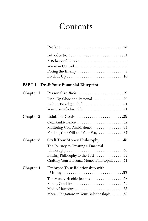# **Contents**

<span id="page-2-1"></span><span id="page-2-0"></span>

| <b>PART I</b> | <b>Draft Your Financial Blueprint</b>                                                                                                                      |
|---------------|------------------------------------------------------------------------------------------------------------------------------------------------------------|
| Chapter 1     | Personalize Rich 19<br>Rich: Up Close and Personal $\ldots\ldots\ldots\ldots\ldots\ldots\ldots 20$                                                         |
| Chapter 2     | Establish Goals 29<br>Mastering Goal Ambivalence 34<br>Finding Your Will and Your Way 37                                                                   |
| Chapter 3     | Craft Your Money Philosophy 45<br>The Journey to Creating a Financial<br>Putting Philosophy to the Test 49<br>Crafting Your Personal Money Philosophies 51 |
| Chapter 4     | Embrace Your Relationship with<br>Money 57<br>The Money Heebie Jeebies 58<br>Moral Obligations in Your Relationship? 68                                    |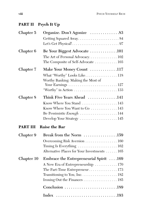# <span id="page-3-0"></span>**[PART II Psych It Up](#page--1-4)**

| Chapter 5            | Getting Squared Away 84                                                                                                                                                         |
|----------------------|---------------------------------------------------------------------------------------------------------------------------------------------------------------------------------|
| Chapter <sub>6</sub> | Be Your Biggest Advocate 101<br>The Composite of Self-Advocate  103                                                                                                             |
| Chapter 7            | Make Your Money Count 117<br>What "Worthy" Looks Like118<br>Worthy Banking: Making the Most of<br>Your Earnings $\ldots \ldots \ldots \ldots \ldots \ldots \ldots 127$          |
| Chapter 8            | Think Five Years Ahead 141<br>Know Where You Stand  143<br>Know Where You Want to Go  143<br>Be Pessimistic Enough  144<br>Develop Your Strategy  145                           |
| PART III             | <b>Raise the Bar</b>                                                                                                                                                            |
| Chapter 9            | Break from the Norm 159<br>Overcoming Risk Aversion  160<br>Timing Is Everything  162<br>Alternative Places for Your Investments  165                                           |
| Chapter 10           | Embrace the Entrepreneurial Spirit 169<br>A New Era of Entrepreneurship  170<br>The Part-Time Entrepreneur173<br>Transitioning to You, Inc. 182<br>Ironing Out the Finances 185 |
|                      |                                                                                                                                                                                 |
|                      |                                                                                                                                                                                 |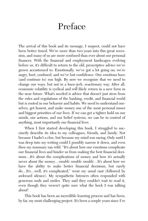# [Preface](#page-2-0)

<span id="page-4-0"></span>The arrival of this book and its message, I suspect, could not have been better timed. We're more than two years into this great recession, and many of us are more confused than ever about our personal finances. With the financial and employment landscapes evolving before us, it's difficult to return to the old, prescriptive advice we've grown accustomed to. Emotionally, we've got a lot going on; we're angry, hurt, confused, and we've lost confidence. Our emotions have (and continue to) run high. By now we recognize that we need to change our ways, but not in a knee-jerk, reactionary way. After all, economic volatility is cyclical and will likely return in a new form in the near future. What's needed is advice that doesn't just stem from the rules and regulations of the banking, credit, and financial world but is rooted in our behavior and habits. We need to understand ourselves, get honest, and make money one of the most personal issues and biggest priorities of our lives. If we can get a tighter hold on our minds, our actions, and our belief systems, we can be in control of anything, most importantly our financial lives.

When I first started developing this book, I struggled to succinctly describe its idea to my colleagues, friends, and family. Not because I hadn't a clue, but because my mind was racing. Only until I was deep into my writing could I possibly narrow it down, and even then my summary ran wild. "It's about how our emotions complicate our financial lives and hinder us from making the best financial decisions…It's about the complications of money and how it's actually never about the money…*ramble ramble ramble…*It's about how we have the ability to make better financial decisions, but rarely do…It's…well, it's complicated," went my usual rant (followed by awkward silence). My sympathetic listeners often responded with generous nods and smiles. They said they couldn't wait to read it, even though they weren't quite sure what the heck I was talking about!

This book has been an incredible learning process and has been, by far, my most challenging project. It's been a couple years since I've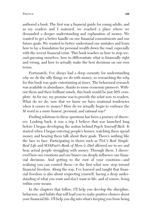authored a book. The first was a financial guide for young adults, and as my readers and I matured, we reached a place where we demanded a deeper understanding and explanation of money. We wanted to get a better handle on our financial commitments and our future goals. We wanted to better understand our mistakes and learn how to lay a foundation for personal wealth down the road, especially with the recent financial crisis. This book teaches us how to stop second-guessing ourselves, how to differentiate what is financially right and wrong, and how to actually make the best decisions on our own terms.

Fortunately, I've always had a deep curiosity for understanding why we do the silly things we do with money, so researching the *why* for this book was quite entertaining at times. The behavioral research was available in abundance, thanks to some economic pioneers. Without them and their brilliant minds, this book would be just 50% complete. As for me, my promise was to provide the *what now* to readers. What do we do, now that we know we have irrational tendencies when it comes to money? How do we actually begin to embrace the *M* word in a more honest, personal, and rational way?

Finding solutions to these questions has been a journey of discovery. Looking back, it was a trip I believe that was launched long before I began developing the notion behind *Psych Yourself Rich.* It started when I began entering people's homes, watching them spend money and hearing them talk about their goals. There's nothing like the face to face. Participating in shows such as TLC's *Real Simple. Real Life* and SOAPnet's *Bank of Mom & Dad* allowed me to see and hear actual people struggling with money. Through them, I discovered how our emotions and our biases can deeply influence our financial decisions. And getting to the root of your emotions—and realizing you can control them—is the first *what now* step toward financial freedom. Along the way, I've learned and taught that financial freedom is also about respecting yourself, having a deep understanding of what you want and *don't* want in life, and of course, living within your means.

In the chapters that follow, I'll help you develop the discipline, behaviors, and habits that will lead you to make positive choices about your financial life. I'll help you dig into what's keeping you from being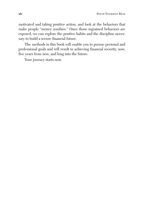motivated and taking positive action, and look at the behaviors that make people "money zombies." Once those ingrained behaviors are exposed, we can explore the positive habits and the discipline necessary to build a secure financial future.

The methods in this book will enable you to pursue personal and professional goals and will result in achieving financial security, now, five years from now, and long into the future.

Your journey starts now.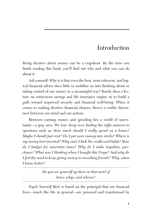# [Introduction](#page-2-1)

<span id="page-7-0"></span>Being decisive about money can be a crapshoot. By the time you finish reading this book, you'll find out why and what you can do about it.

Ask yourself: Why is it that even the best, most coherent, and logical financial advice does little to mobilize us into thinking about or taking control of our money in a meaningful way? Rarely does a lecture on retirement savings and life insurance inspire us to build a path toward improved security and financial well-being. When it comes to making decisive financial choices, there's a visible disconnect between our mind and our actions.

Between earning money and spending lies a world of uncertainty—a gray area. We lose sleep over finding the right answers to questions such as: *How much should I really spend on a house? Maybe I should just rent? Do I put more money into stocks? Where is my money best invested? Why can't I kick the credit card habit? How do I budget for uncertain times? Why do I make impulsive purchases? What was I thinking when I bought this Vespa? And why do I feel the need to keep giving money to mooching friends? Why, when I know better?* 

> *Do you see yourself up there in that swirl of hows, whys, and wheres?*

*Psych Yourself Rich* is based on the principal that our financial lives—much like life in general—are powered and transformed by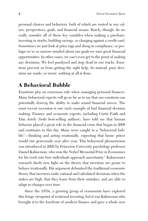<span id="page-8-2"></span><span id="page-8-1"></span><span id="page-8-0"></span>personal choices and behaviors, both of which are rooted in our values, perspectives, goals, and financial means. Rarely, though, do we really consider all of these key variables when making a purchase, investing in stocks, building savings, or charging against a credit card. Sometimes we just look at price tags and shrug in compliance, or perhaps we're so narrow-minded about our goals we miss great financial opportunities. In other cases, we can't even get to the point of making any decisions. We feel paralyzed and stop dead in our tracks. Emotions prevent us from getting the right help. So instead, poor decisions are made, or worse, nothing at all is done.

# **[A Behavioral Bubble](#page-2-0)**

Emotions play an enormous role when managing personal finances. Many behavioral experts will go so far as to say that our emotions can potentially *destroy* the ability to make sound financial moves. The most recent recession is one such example of bad financial decision making. Finance and economic experts, including Curtis Faith and Dan Ariely (both best-selling authors), have told me that human behavior played a great role in the financial crisis that began in 2008 and continues to this day. Many were caught in a "behavioral bubble"—thinking and acting irrationally, expecting that home prices would rise generously year after year. This behavioral phenomenon was introduced in 2002 by Princeton University psychology professor Daniel Kahneman, who won the Nobel Memorial Prize in Economics for his work into how individuals approach uncertainty.<sup>1</sup> Kahneman's research sheds new light on the theory that investors are prone to behave irrationally. His argument debunked the traditional economic theory that investors make rational and calculated decisions when the stakes are high, that they learn from their mistakes, and are able to adapt to changes over time.

Since the 1970s, a growing group of economists have explored this fringe viewpoint of irrational investing, but it was Kahneman who brought it to the forefront of modern finance and gave a whole new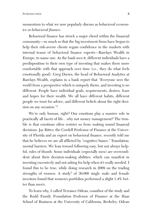<span id="page-9-0"></span>momentum to what we now popularly discuss as *behavioral economics* or *behavioral finance*.

Behavioral finance has struck a major chord within the financial community—so much so that the big investment firms have begun to help their risk-averse clients regain confidence in the markets with internal teams of behavioral finance experts—Barclays Wealth in Europe, to name one. As the bank sees it, different individuals have a predisposition to their own type of investing that makes them more comfortable with that approach over time (i.e., they do what feels emotionally good). Greg Davies, the head of Behavioral Analytics at Barclays Wealth, explains in a bank report that "Everyone sees the world from a perspective which is uniquely theirs, and investing is no different. People have individual goals, requirements, desires, fears and hopes for their wealth. We all have different habits, different people we trust for advice, and different beliefs about the right decision on any occasion."2

We're only human, right? Our emotions play a massive role in practically all facets of life…why not money management? The trouble is that emotions often restrict us from making sound financial decisions. Jay Ritter, the Cordell Professor of Finance at the University of Florida and an expert on behavioral finance, recently told me that he believes we are all afflicted by "cognitive biases." Translation: mental barriers. We lean toward following easy, but not always helpful, rules of thumb. Some individuals (especially men) are overconfident about their decision-making abilities, which can manifest in investing excessively and not asking for help when it's really needed. I found this to be true, while doing research in 2009 on the trading strengths of women. A study<sup>3</sup> of 30,000 single male and female investors found that women's portfolios performed a slight 1.4% better than men's.

To learn why, I called Terrance Odean, coauthor of the study and the Rudd Family Foundation Professor of Finance at the Haas School of Business at the University of California, Berkeley. Odean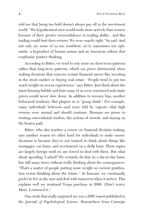told me that being too bold doesn't always pay off in the investment world. "We hypothesized men would trade more actively than women because of their greater overconfidence in trading ability…and this trading would hurt their returns. We were exactly right," he said. And not only are some of us too confident, we're sometimes too optimistic, a byproduct of human nature and an American culture that emphasize positive thinking.

According to Ritter, we tend to rely more on short-term patterns rather than long-term patterns, which can prove detrimental when making decisions that concern certain financial moves like investing in the stock market or buying real estate. "People tend to put too much weight on recent experiences," says Ritter. Just think about the latest housing bubble and how many of us were convinced real estate prices would never slow down. In addition to recency bias, another behavioral tendency that plagues us is "group think." For example, many individuals believed—and were told by experts—that high returns were normal and should continue. Humans are prone to trusting conventional wisdom, the actions of crowds, and staying on the beaten path.

Ritter, who also teaches a course on financial decision making, says another reason it's often hard for individuals to make money decisions is because they're not trained to think about things like mortgages, car loans, and investments on a *daily* basis. These topics are largely foreign until we are forced to deal with them. But what about spending, I asked? We certainly do that on a day-to-day basis, but still many times without really thinking about the consequences. "That's a matter of people putting more weight on current gratification versus thinking about the future." As humans, we emotionally prefer to live in the now and deal with tomorrow when it arrives. This explains well my irrational Vespa purchase in 2006. (Don't worry, Mom. I returned it.)

One study that really surprised me was a 2005 report published in the *Journal of Psychological Science*. Researchers from Carnegie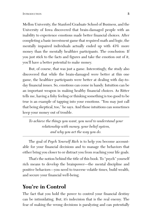<span id="page-11-2"></span><span id="page-11-1"></span>Mellon University, the Stanford Graduate School of Business, and the University of Iowa discovered that brain-damaged people with an inability to experience emotions made better financial choices. After completing a basic investment game that required math and logic, the mentally impaired individuals actually ended up with 43% more money than the mentally healthier participants. The conclusion: If you just stick to the facts and figures and take the emotion out of it, you'll have a better potential to make money.

<span id="page-11-0"></span>But, of course, that was just a game. Interestingly, the study also discovered that while the brain-damaged were better at this one game, the healthier participants were better at dealing with day-today financial issues. So, emotions can come in handy. Intuition can be an important weapon in making healthy financial choices. As Ritter tells me, having a fishy feeling or thinking something is too good to be true is an example of tapping into your emotions. "You may just call that being skeptical, too," he says. And those intuitions can sometimes keep your money out of trouble.

*To achieve the things you want, you need to understand your relationship with money, your belief system, and why you act the way you do.* 

The goal of *Psych Yourself Rich* is to help you become accountable for your financial decisions and to manage the behaviors that either bring you closer to or distract you from reaching your life goals.

That's the notion behind the title of this book. To "psych" yourself rich means to develop the brainpower—the mental discipline and positive behaviors—you need to traverse volatile times, build wealth, and secure your financial well-being.

# **[You're in Control](#page-2-1)**

The fact that you hold the power to control your financial destiny can be intimidating. But, it's indecision that is the real enemy. The fear of making the wrong decisions is paralyzing and can potentially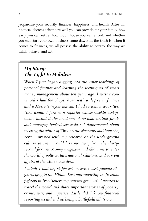<span id="page-12-0"></span>jeopardize your security, finances, happiness, and health. After all, financial choices affect how well you can provide for your family, how early you can retire, how much house you can afford, and whether you can start your own business some day. But, the truth is, when it comes to finances, we all possess the ability to control the way we think, behave, and act.

# *My Story: The Fight to Mobilize*

*When I first began digging into the inner workings of personal finance and learning the techniques of smart money management about ten years ago, I wasn't convinced I had the chops. Even with a degree in finance and a Master's in journalism, I had serious insecurities. How would I fare as a reporter whose weekly assignments included the lowdown of no-load mutual funds and mortgage-backed securities? I daydreamed about meeting the editor of* Time *in the elevators and how she, very impressed with my research on the underground culture in Iran, would lure me away from the thirtysecond floor at* Money *magazine and allow me to enter the world of politics, international relations, and current affairs at the* Time *news desk.*

*I admit I had my sights set on sexier assignments like journeying to the Middle East and reporting on freedom fighters in Iran (where my parents grew up). I wanted to travel the world and share important stories of poverty, crime, war, and injustice. Little did I know financial reporting would end up being a battlefield all its own.*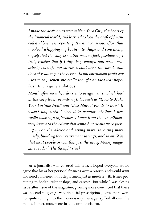*I made the decision to stay in New York City, the heart of the financial world, and learned to love the craft of financial and business reporting. It was a conscious effort that involved whipping my brain into shape and convincing myself that the subject matter was, in fact, fascinating. I truly trusted that if I dug deep enough and wrote creatively enough, my stories would alter the minds and lives of readers for the better. As my journalism professor used to say (when she really thought an idea was hopeless): It was quite* ambitious*.*

*Month after month, I dove into assignments, which had at the very least, promising titles such as "How to Make Your Fortune Now" and "Best Mutual Funds to Buy." It wasn't long until I started to wonder whether I was really making a difference. I knew from the complimentary letters to the editor that some Americans were picking up on the advice and saving more, investing more wisely, building their retirement savings, and so on. Was that most people or was that just the savvy* Money *magazine reader? The thought stuck.*

As a journalist who covered this area, I hoped everyone would agree that his or her personal finances were a priority and would want and need guidance in this department just as much as with issues pertaining to health, relationships, and careers. But while I was closing issue after issue of the magazine, growing more convinced that there was no end to giving away financial prescriptions, consumers were not quite tuning into the money-savvy messages spilled all over the media. In fact, many were in a major financial rut.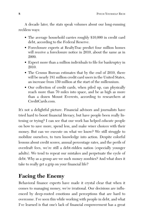<span id="page-14-1"></span>A decade later, the stats speak volumes about our long-running reckless ways:

- The average household carries roughly \$10,000 in credit card debt, according to the Federal Reserve.
- Foreclosure experts at RealtyTrac predict four million homes will receive a foreclosure notice in 2010, about the same as in 2009.
- <span id="page-14-0"></span>• Expect more than a million individuals to file for bankruptcy in 2010.
- The Census Bureau estimates that by the end of 2010, there will be nearly 181 million credit card users in the United States, an increase from 159 million at the start of the millennium.
- Our collection of credit cards, when piled up, can physically reach more than 70 miles into space, and be as high as more than a dozen Mount Everests, according to researchers at CreditCards.com.

It's not a delightful picture. Financial advisors and journalists have tried hard to boost financial literacy, but have people been really listening or trying? I can see that our work has helped *educate* people on how to save more, spend less, and make wiser choices with their money. But can we execute on what we know? We still struggle to mobilize ourselves, to turn knowledge into action. Despite colorful lessons about credit scores, annual percentage rates, and the perils of overdraft fees, we're still a debt-ridden nation (especially younger adults). We tend to repeat our mistakes and perpetuate the cycle of debt. Why as a group are we such money zombies? And what does it take to really get a grip on your financial life?

# **[Facing the Enemy](#page-2-0)**

Behavioral finance experts have made it crystal clear that when it comes to managing money, we're irrational. Our decisions are influenced by deep-rooted emotions and perceptions that are hard to overcome. I've seen this while working with people in debt, and what I've learned is that one's lack of financial empowerment has a great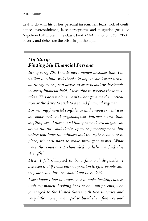deal to do with his or her personal insecurities, fears, lack of confidence, overconfidence, false perceptions, and misguided goals. As Napoleon Hill wrote in the classic book *Think and Grow Rich,* "Both poverty and riches are the offspring of thought."

# *My Story: Finding My Financial Persona*

*In my early 20s, I made more money mistakes than I'm willing to admit. But thanks to my constant exposure to all-things money and access to experts and professionals in every financial field, I was able to reverse those mistakes. This access alone wasn't what gave me the motivation or the drive to stick to a sound financial regimen.* 

*For me, my financial confidence and empowerment was an emotional and psychological journey more than anything else. I discovered that you can learn all you can about the do's and don'ts of money management, but unless you have the mindset and the right behaviors in place, it's very hard to make intelligent moves. What were the emotions I channeled to help me find this strength?*

*First, I felt* obligated *to be a financial do-gooder. I believed that if I was put in a position to offer people savings advice, I, for one, should not be in debt.* 

*I also knew I had no excuse but to make healthy choices with my money. Looking back at how my parents, who journeyed to the United States with two suitcases and very little money, managed to build their finances and*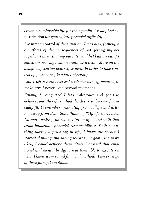*create a comfortable life for their family, I really had* no justification *for getting into financial difficulty.* 

*I* assumed control *of the situation. I was also, frankly, a bit afraid of the consequences of* not *getting my act together. I knew that my parents wouldn't bail me out if I ended up over my head in credit card debt. (More on the benefits of scaring yourself straight in order to take control of your money in a later chapter.)*

*And I felt a little obsessed with my money, wanting to make sure I* never lived beyond my means.

*Finally, I recognized I had* milestones and goals *to achieve, and therefore I had the desire to become financially fit. I remember graduating from college and driving away from Penn State thinking, "My life starts now. No more waiting for when I 'grow up,'" and with that came immediate financial responsibilities. With everything having a price tag in life, I knew the earlier I started thinking and saving toward my goals, the more likely I could achieve them. Once I crossed that emotional and mental bridge, I was then able to execute on what I knew were sound financial methods. I never let go of these forceful emotions.*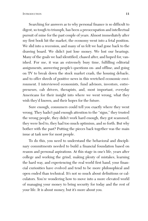<span id="page-17-0"></span>Searching for answers as to why personal finance is so difficult to digest, so tough to triumph, has been a preoccupation and intellectual pursuit of mine for the past couple of years. Almost immediately after my first book hit the market, the economy went into a fetal position. We slid into a recession, and many of us felt we had gone back to the drawing board. We didn't just lose money. We lost our bearings. Many of the goals we had identified, chased after, and hoped for, vanished. For me, it was an extremely busy time, fulfilling editorial assignments, answering people's questions on- and offline, and going on TV to break down the stock market crash, the housing debacle, and to offer shreds of positive news in this wretched economic environment. I interviewed economists, fund advisors, investors, entrepreneurs, cab drivers, therapists, and, most important, everyday Americans for their insight into where we went wrong, what they wish they'd known, and their hopes for the future.

Sure enough, consumers could tell you exactly where they went wrong. They hadn't paid enough attention to the "signs," they trusted the wrong people, they didn't work hard enough, they got scammed, they were lied to, they had too much optimism, and so forth. But why bother with the past? Putting the pieces back together was the main issue at task now for most people.

To do this, you need to understand the behavioral and disciplinary commitments needed to build a financial foundation based on reason and personal aspirations. At this stage in one's life, years after college and working the grind, making plenty of mistakes, learning the hard way, and experiencing the real world first hand, your financial curiosities have evolved and tend to be more philosophical and open ended than technical. It's not so much about definitions or calculators. You're wondering how to move into a more elevated world of managing your money to bring security for today and the rest of your life. It is about money, but it's more about you.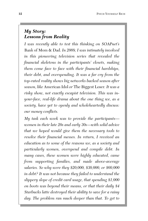## <span id="page-18-0"></span>*My Story: Lessons from Reality*

*I was recently able to test this thinking on SOAPnet's* Bank of Mom & Dad. *In 2009, I was intimately involved in this pioneering television series that revealed the financial skeletons in the participants' closets, making them come face to face with their financial hardships, their debt, and overspending. It was a far cry from the top-rated reality shows big networks backed season after season, like* American Idol *or* The Biggest Loser*. It was a risky show, not exactly escapist television. This was inyour-face, real-life drama about the one thing we, as a society, have yet to openly and wholeheartedly discuss: our money conflicts.* 

*My task each week was to provide the participants women in their late 20s and early 30s—with solid advice that we hoped would give them the necessary tools to resolve their financial messes. In return, I received an education as to some of the reasons we, as a society and particularly women, overspend and compile debt. In many cases, these women were highly educated, came from supporting families, and made above-average salaries. So why were they \$20,000, \$30,000, or \$60,000 in debt? It was not because they failed to understand the slippery slope of credit card usage, that spending \$1,000 on boots was beyond their means, or that their daily \$4 Starbucks latte destroyed their ability to save for a rainy day. The problem ran much deeper than that. To get to*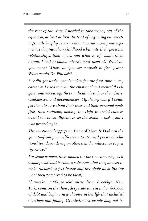<span id="page-19-0"></span>*the root of the issue, I needed to take money out of the equation, at least at first. Instead of beginning our meetings with lengthy sermons about sound money management, I dug into their childhood a bit, into their personal relationships, their goals, and what in life made them happy. I had to know, where's your head at? What do you want? Where do you see yourself in five years? What would Dr. Phil ask?*

*I really got under people's skin for the first time in my career as I tried to open the emotional and mental floodgates and encourage these individuals to face their fears, weaknesses, and dependencies. My theory was if I could get them to care about their lives and their personal goals first, then suddenly making the right financial choices would not be so difficult or so detestable a task. And I was proved right.*

*The emotional baggage on* Bank of Mom & Dad *ran the gamut—from poor self-esteem to strained personal relationships, dependency on others, and a reluctance to just "grow up."* 

*For some women, their money (or borrowed money, as it usually was) had become a substance that they abused to make themselves feel better and live their ideal life (or what they* perceived *to be ideal).* 

*Shameeka, a 29-year-old nurse from Brooklyn, New York, came on the show, desperate to rein in her \$60,000 of debt and begin a new chapter in her life that included marriage and family. Granted, most people may not be*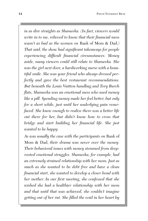<span id="page-20-0"></span>*in as dire straights as Shameeka. (In fact, viewers would write in to me, relieved to know that their financial mess wasn't as bad as the women on* Bank of Mom & Dad.*) That said, the show had significant takeaways for people experiencing difficult financial circumstances. Money aside, many viewers could still relate to Shameeka. She was the girl next door, a hardworking nurse with a beautiful smile. She was your friend who always dressed perfectly and gave the best restaurant recommendations. But beneath the Louis Vuitton handbag and Tory Burch flats, Shameeka was an emotional mess who used money like a pill. Spending money made her feel better, but only for a short while, just until her underlying pain resurfaced. She knew enough to realize there was a better life out there for her, but didn't know how to cross that bridge and start building her financial life. She just wanted to be happy.* 

*As was usually the case with the participants on* Bank of Mom & Dad, *their drama was never over the money. Their behavioral issues with money stemmed from deeprooted emotional struggles. Shameeka, for example, had an extremely strained relationship with her mom. Just as much as she wanted to be debt free and have a clean financial start, she wanted to develop a closer bond with her mother. In our first meeting, she confessed that she wished she had a healthier relationship with her mom and that until that was achieved, she couldn't imagine getting out of her rut. She filled the void in her heart by*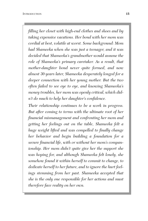<span id="page-21-0"></span>*filling her closet with high-end clothes and shoes and by taking expensive vacations. Her bond with her mom was cordial at best, volatile at worst. Some background: Mom had Shameeka when she was just a teenager, and it was decided that Shameeka's grandmother would assume the role of Shameeka's primary caretaker. As a result, that mother-daughter bond never quite formed, and now almost 30 years later, Shameeka desperately longed for a deeper connection with her young mother. But the two often failed to see eye to eye, and knowing Shameeka's money troubles, her mom was openly critical, which didn't do much to help her daughter's confidence.* 

*Their relationship continues to be a work in progress. But after coming to terms with the ultimate root of her financial mismanagement and confronting her mom and getting her feelings out on the table, Shameeka felt a huge weight lifted and was compelled to finally change her behavior and begin building a foundation for a secure financial life, with or without her mom's companionship. Her mom didn't quite give her the support she was hoping for, and although Shameeka felt lonely, she somehow found it within herself to commit to change, to dedicate herself to her future, and to ignore the hurt feelings stemming from her past. Shameeka accepted that she is the only one responsible for her actions and must therefore face reality on her own.*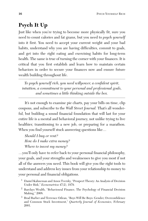# <span id="page-22-0"></span>**[Psych It Up](#page-2-0)**

Just like when you're trying to become more physically fit, sure you need to count calories and fat grams, but you need to *psych yourself* into it first. You need to accept your current weight and your bad habits, understand why you are having difficulties, commit to goals, and get into the right eating and exercising habits for long-term health. The same is true of turning the corner with your finances. It is critical that you first establish and learn how to maintain certain behaviors in order to secure your finances now and ensure future wealth building throughout life.

*To psych yourself rich, you need willpower, a confident spirit, intuition, a commitment to your personal and professional goals, and sometimes a little thinking outside the box.*

It's not enough to examine pie charts, pay your bills on time, clip coupons, and subscribe to the *Wall Street Journal.* That's all wonderful, but building a sound financial foundation that will last for your entire life is a mental and behavioral journey, not unlike trying to live healthier, transitioning to a new job, or preparing for a marathon. When you find yourself stuck answering questions like…

*Should I buy or rent? How do I make extra money? Where to invest my money?*

…you'll only have to refer back to your personal financial philosophy, your goals, and your strengths and weaknesses to give you most if not all of the answers you need. This book will give you the right tools to understand and address key issues from your relationship to money to your personal and financial obligations.

- <sup>1</sup> Daniel Kahneman and Amos Tversky, "Prospect Theory: An Analysis of Decision Under Risk," *Econometrica* 47(2), 1979.
- <sup>2</sup> Barclays Wealth, "Behavioural Finance, The Psychology of Financial Decision Making," 2008.
- <sup>3</sup> Brad Barber and Terrence Odean, "Boys Will Be Boys: Gender, Overconfidence and Common Stock Investment," *Quarterly Journal of Economics,* February 2001.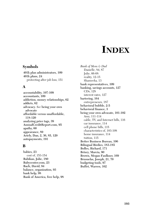# **[INDEX](#page-3-0)**

#### <span id="page-23-0"></span>**Symbols**

**401k plan administrators, [109](#page--1-6) 401k plans, [24](#page--1-6)** protecting after job loss, [151](#page--1-6)

## **A**

**accountability, [107-109](#page--1-6) accountants, [109](#page--1-6) addiction, money relationships, [62](#page--1-6) addicts, [62](#page--1-6) advocacy.** *See* **being your own advocate affordable versus unaffordable, [118-120](#page--1-6) analyzing price tags, [39](#page--1-6) AnnualCreditReport.com, [95](#page--1-6) apathy, [60](#page--1-6) appearance, [89](#page--1-6) Ariely, Dan, [2,](#page-8-1) [36, 85, 120](#page--1-6) autopayments, [191](#page--1-6)**

#### **B**

**babies, [23](#page--1-6)** cost of, [153-154](#page--1-6) **Babikan, Julie, [180](#page--1-6) Babycenter.com, [23](#page--1-6) Bach, David, [94](#page--1-6) balance, organization, [93](#page--1-6) bank help, [98](#page--1-6) Bank of America, free help, [98](#page--1-6)** *Bank of Mom & Dad* Danielle, [84, 87](#page--1-6) Julie, [66-68](#page--1-6) reality, [12-](#page-18-0)[15](#page-21-0) Shameeka, [13](#page-19-0) **bank representatives, [109](#page--1-6) banking, savings accounts, [127](#page--1-6)** CDs, [128](#page--1-6) interest rates, [127](#page--1-6) **bartering, [164](#page--1-6)** entrepreneurs, [187](#page--1-6) **behavioral bubble, [2-](#page-8-2)[5](#page-11-1) behavioral finance, [3](#page-9-0) being your own advocate, [101-102](#page--1-6)** Amy, [111-114](#page--1-6) cable, TV, and Internet bills, [116](#page--1-6) car insurance, [114](#page--1-6) cell phone bills, [115](#page--1-6) characteristics of, [103-108](#page--1-6) home insurance, [114](#page--1-6) tuition, [115](#page--1-6) **Better Business Bureau, [106](#page--1-6) Bilingual Birdies, [183-185](#page--1-6) Bolles, Richard, [171](#page--1-6) Brixey, Marcia, [90](#page--1-6) Brown, Megan Faulkner, [169](#page--1-6) Brusuelas, Joseph, [21](#page--1-6), [70](#page--1-6) budgeting tools, [97](#page--1-6) Buffet, Warren, [162](#page--1-6)**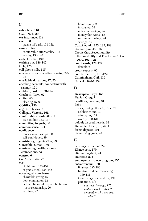#### **C**

**cable bills, [116](#page--1-6) Cage, Nick, [30](#page--1-6) car insurance, [114](#page--1-6) cars, [153](#page--1-6)** paying off early, [131-132](#page--1-6) **case studies** comfortable affordability, [133](#page--1-6) worthy, [133-140](#page--1-6) **cash, [119-120](#page--1-6), [190](#page--1-6) cashing out, [146-147](#page--1-6) CDs, [128](#page--1-6) cell phone bills, [115](#page--1-6) characteristics of a self-advocate, [103-](#page--1-6) [108](#page--1-6) charitable donations, [27,](#page--1-6) [95](#page--1-6) checking accounts, connecting with savings, [121](#page--1-6) children, cost of, [153-154](#page--1-6) Ciochetti, Terri, [62](#page--1-6) clutter, [85](#page--1-6)** clearing, [87-90](#page--1-6) **COBRA, [150](#page--1-6) cognitive biases, [3](#page-9-0) Colligan, Victoria, [162](#page--1-6) comfortable affordability, [118](#page--1-6)** case studies, [133](#page--1-6), [137](#page--1-6) **committing to goals, [36](#page--1-6) common sense, [104](#page--1-6) confidence** money relationships, [60](#page--1-6) self-confidence, [89](#page--1-6) **consistency, organization, [93](#page--1-6) Constable, Simon, [166](#page--1-6) constructing healthy money connections, [63](#page--1-7) control, [6](#page-12-0)** *Corduroy,* **[176-177](#page--1-6) cost** of children, [153-154](#page--1-6) of grad school, [154-155](#page--1-6) **covering all your bases** charitable giving, [27](#page--1-6) debt elimination, [24](#page--1-6) defined financial responsibilities in your relationship, [26](#page--1-6) earnings, [22](#page--1-6)

home equity, [25](#page--1-6) insurance, [24](#page--1-6) milestone savings, [24](#page--1-6) money that works, [26](#page--1-6) retirement savings, [24](#page--1-6) savings, [23](#page--1-6) **Cox, Amanda, [175, 182](#page--1-6), [188](#page--1-6) Cramer, Jim, [46, 146](#page--1-6) Credit Card Accountability Responsibility and Disclosure Act of 2009, [102, 122](#page--1-6) credit cards, [121-122](#page--1-6)** default, [61](#page--1-6) **credit reports, [95](#page--1-6) credit-free lives, [121-122](#page--1-6) Cunningham, Gail, [119](#page--1-7) Cupcake Kids!, [182](#page--1-6)**

#### **D**

**Dasgupgta, Priya, [154](#page--1-6) Davies, Greg, [3](#page-9-0) deadlines, creating, [91](#page--1-6) debt** cars, paying off early, [131-132](#page--1-6) celebrities and, [30](#page--1-6) eliminating, [24](#page--1-6) worthy, [129-131](#page--1-6) **default on credit cards, [61](#page--1-6) Detweiler, Gerri, [70](#page--1-6), [76](#page--1-6), [119](#page--1-6) direct deposit, [191](#page--1-6) diversifying goals, [42](#page--1-6)**

#### **E**

**earnings, sufficient, [22](#page--1-6) Elance.com, [179](#page--1-6) eliminating debt, [24](#page--1-6) emotions, [2](#page-8-1), [5](#page-11-2) employer assistance program, [155](#page--1-6) entrepreneurs, [169](#page--1-6)** finances, [185-186](#page--1-6) full-time online freelancing, [179-181](#page--1-6) identifying creative skills, [191](#page--1-6) part-time, [173](#page--1-6) *channel the urge, [175](#page--1-6) make it work, [176-178](#page--1-6) remember who you are, [174-175](#page--1-6)*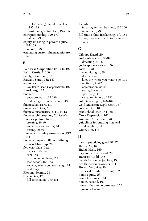tips for making the full-time leap, [187-188](#page--1-6) transitioning to You, Inc., [182-185](#page--1-6) **entrepreneurship, [170-173](#page--1-6)** online, [179](#page--1-6) **equity, investing in private equity, [167-168](#page--1-6) Etsy.com, [178](#page--1-6) evaluating current financial picture, [143](#page--1-6)**

#### **F**

**Fair Isaac Corporation (FICO), [122](#page--1-6) Faith, Curtis, [2](#page-8-1), [160](#page--1-6) family, money and, [73](#page--1-6) Farzam, Sarah, [182-183](#page--1-6) feeling rich, [22](#page--1-6) FICO (Fair Isaac Corporation), [122](#page--1-6) FinAid.org, [115](#page--1-6) finances** entrepreneurs, [185-186](#page--1-6) evaluating current situation, [143](#page--1-6) **financial advisers, [110](#page--1-6) financial choices, [5](#page-11-2) financial insecurities, [8-](#page-14-1)[11,](#page-17-0) [14-](#page-20-0)[15](#page-21-0) financial philosophies, [51](#page--1-6).** *See also* **money philosophies** creating, [46-49](#page--1-6) guidelines for crafting, [51](#page--1-6) testing, [49-50](#page--1-6) **Financial Planning Association (FPA), [111](#page--1-6) financial responsibilities, defining in your relationship, [26](#page--1-6) five-year plans, [142](#page--1-6)** babies, [153-154](#page--1-6) cars, [153](#page--1-6) first home purchase, [152](#page--1-6) grad school, [154-155](#page--1-6) knowing where you want to go, [143](#page--1-6) weddings, [151](#page--1-6) **Fleming, Jeanne, [73](#page--1-8) freelancing, [179](#page--1-6)** full-time online, [179-181](#page--1-6)

**friends** investing in their business, [165-166](#page--1-6) money and, [73](#page--1-6) **full-time online freelancing, [179-181](#page--1-6) future, five-year plans.** *See* **five-year plans**

#### **G**

**Gilbert, David, [20](#page--1-6) goal ambivalence, [32-34](#page--1-6)** defeating, [34-36](#page--1-6) **goal-supportive visuals, [99](#page--1-6) goals, [30-31](#page--1-6)** committing to, [36](#page--1-6) diversify, [42](#page--1-6) knowing where you want to go, [143](#page--1-6) motivate, [41-42](#page--1-6) organization, [85-86](#page--1-6) raising karma, [41](#page--1-6) specifying, [40](#page--1-6) visual reminders of, [191](#page--1-6) **gold, investing in, [166-167](#page--1-6) Gold American Eagle Coin, [167](#page--1-6) good utility, [118](#page--1-6) grad school, cost, [154-155](#page--1-6) Great Depression, [162](#page--1-6) Greene, Dr. Patricia, [173](#page--1-6) guidelines for crafting financial philosophies, [51](#page--1-6) Gunn, Tim, [176](#page--1-6)**

#### **H**

**habits, practicing good, [91-97](#page--1-6) Hafizi, Ali, [169](#page--1-6) Hafizi, Hash, [169](#page--1-6) happiness, wealth and, [20](#page--1-6) Harrison, Todd, [148](#page--1-6) health insurance, job loss, [150](#page--1-6) health insurance agents, [111](#page--1-6) Hearst, Veronica, [30](#page--1-6) historical trends, investing, [162](#page--1-6) home equity, [25](#page--1-6) home insurance, [114](#page--1-6) homes, second, [163](#page--1-6) houses, first home purchase, [152](#page--1-6) human behavior, [2](#page-8-1)**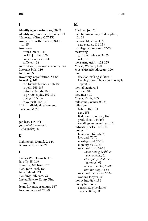#### **I**

**identifying opportunities, [38-39](#page--1-6) identifying your creative skills, [191](#page--1-6) "Innovative Time Off,["159](#page--1-7) insecurities with finances, [8-](#page-14-1)[11,](#page-17-0) [14-](#page-20-0)[15](#page-21-0) insurance** car insurance, [114](#page--1-6) health, job loss, [150](#page--1-6) home insurance, [114](#page--1-6) sufficient, [24](#page--1-6) **interest rates, savings accounts, [127](#page--1-6) Internet bills, [116](#page--1-6) intuition, [5](#page-11-2) inventory, organization, [85-86](#page--1-6) investing, [161](#page--1-6)** in a friend's business, [165-166](#page--1-6) in gold, [166-167](#page--1-6) historical trends, [162](#page--1-6) in private equity, [167-168](#page--1-6) timing, [162-164](#page--1-6) in yourself, [126-127](#page--1-6) **IRAs (individual retirement accounts), [24](#page--1-6)**

# **J**

**job loss, [148-151](#page--1-6)** *Journal of Research in Personality***, [20](#page--1-6)**

#### **K**

**Kahneman, Daniel, [2,](#page-8-1) [144](#page--1-6) Krawcheck, Sallie, [21](#page--1-6)**

#### **L**

**Ladies Who Launch, [173](#page--1-6) layoffs, [48, 149](#page--1-6) Lazerow, Michael, [167](#page--1-6) Lee, John-Paul, [186](#page--1-6) left-brained, [171](#page--1-6) LendingClub.com, [75](#page--1-6) Listed Private Equity Plus Fund, [168](#page--1-6) loans for entrepreneurs, [187](#page--1-6) love, money and, [75-79](#page--1-6)**

### **M**

**Maddux, Jon, [70](#page--1-6) maintaining money philosophies, [51-55](#page--1-6) manageable risks, [118](#page--1-6)** case studies, [135-138](#page--1-6) **marriage, money and, [75-79](#page--1-6) mastering** goal ambivalence, [34-36](#page--1-6) risk, [161](#page--1-6) **measuring utility, [122-125](#page--1-6) Meeks, William, [179](#page--1-6) MeeksMixedMedia.com, [179](#page--1-6) men** decision-making abilities, [3](#page-9-0) keeping track of how your money is spent, [94](#page--1-6) **mental barriers, [3](#page-9-0) mentors, [34](#page--1-6) messiness, [84](#page--1-6) Meyer, Emily, [163](#page--1-6) milestone savings, [23-24](#page--1-6) milestones** babies, [153-154](#page--1-6) cars, [153](#page--1-6) first home purchase, [152](#page--1-6) grad school, [154-155](#page--1-6) weddings and marriages, [151](#page--1-6) **mitigating risks, [125-126](#page--1-6) money** family and friends, [73](#page--1-6) love and, [75-79](#page--1-6) marriage and, [75-79](#page--1-6) morality, [68-70, 73](#page--1-6) relationship to, [58-59](#page--1-6) *constructing healthier connections, [63](#page--1-7) identifying what's not working, [63](#page--1-6) money zombies, [59-63](#page--1-6) reconnecting, [64-65](#page--1-6)* relationships, reality, [66-68](#page--1-6) working for you, [26](#page--1-6) **money buddies, [189](#page--1-6) money harmony** constructing healthier connections, [63](#page--1-7)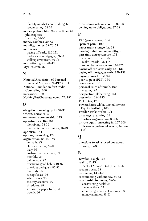identifying what's not working, [63](#page--1-6) reconnecting, [64-65](#page--1-6) **money philosophies.** *See also* **financial philosophies** crafting, [51-55](#page--1-6) **money zombies, [59-63](#page--1-6) morality, money, [68-70](#page--1-6), [73](#page--1-6) mortgages** paying off early, [129-131](#page--1-6) underwater mortgages, [69-73](#page--1-6) walking away from, [69-73](#page--1-6) **motivation, goals, [41-42](#page--1-6) MyFico.com, [76](#page--1-6)**

#### **N**

**National Association of Personal Financial Advisers (NAPFA), [111](#page--1-6) National Foundation for Credit Counseling, [106](#page--1-6) necessities, [182](#page--1-6) NothingButChocolate.com, [175, 182](#page--1-6)**

#### **O**

**obligations, owning up to, [37-38](#page--1-6) Odean, Terrance, [3](#page-9-0) online entrepreneurship, [179](#page--1-6) opportunities, [162-164](#page--1-6)** identifying, [38-39](#page--1-6) unexpected opportunities, [46-49](#page--1-6) **optimism, [144](#page--1-6) options, narrowing, [124](#page--1-6) organization, [84-85, 189](#page--1-6)** annually, [95](#page--1-6) clutter, clearing, [87-90](#page--1-6) daily, [96](#page--1-6) goal-supportive visuals, [99](#page--1-6) monthly, [96](#page--1-6) online tools, [97](#page--1-6) practicing good habits, [91-97](#page--1-6) priorities and goals, [85-86](#page--1-6) quarterly, [95](#page--1-6) receipt boxes, [98](#page--1-6) safety boxes, [98](#page--1-6) security accounts, [99](#page--1-6) shredders, [98](#page--1-6) storage for paper trails, [98](#page--1-6) weekly, [96](#page--1-6)

**overcoming risk aversion, [160-162](#page--1-6) owning up to obligations, [37-38](#page--1-6)**

#### **P**

**P2P (peer-to-peer), [164](#page--1-6) "pain of pain," [120](#page--1-6) paper trails, storage for, [98](#page--1-6) paradigm shift among wealthy, [21](#page--1-6) part-time entrepreneurs, [173](#page--1-6)** channel the urge, [175](#page--1-6) make it work, [176-178](#page--1-6) remember who you are, [174-175](#page--1-6) **paying off car loans early, [131-132](#page--1-6) paying off mortgages early, [129-131](#page--1-6) paying yourself first, [92](#page--1-6) peer-to-peer (P2P), [164](#page--1-6) persistence, [106](#page--1-6) personal rules of thumb, [190](#page--1-6)** creating, [97](#page--1-6) **perspective, globalizing, [124](#page--1-6) pessimism, [144-145](#page--1-6) Pink, Dan, [170](#page--1-6) PowerShares Global Listed Private Equity Portfolio, [168](#page--1-6) Prafder, Erika Weltz, [174](#page--1-6) price tags, analyzing, [39](#page--1-6) priorities, organization, [85-86](#page--1-6) private equity, investing in, [167-168](#page--1-6) professional judgment review, tuition, [115](#page--1-6)**

### **Q**

**questions to ask a loved one about money, [77-80](#page--1-6)**

#### **R**

**Rawdon, Leigh, [163](#page--1-6) reality, [12-](#page-18-0)[15](#page-21-0)** Bank of Mom & Dad, Julie, [66-68](#page--1-6) **receipt boxes, [98](#page--1-6) recessions, [145-148](#page--1-6) reconnecting with money, [64-65](#page--1-6) relationship to money, [58-59](#page--1-6)** constructing healthier connections, [63](#page--1-8) identifying what's not working, [63](#page--1-6) money zombies, [59-63](#page--1-6)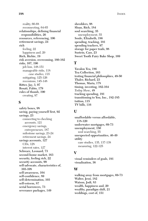reality, [66-68](#page--1-6) reconnecting, [64-65](#page--1-6) **relationships, defining financial responsibilities, [26](#page--1-6) resources, referencing, [106](#page--1-6) retirement savings, [24](#page--1-6) rich** feeling, [22](#page--1-6) happiness and, [20](#page--1-6) **Rich, Richie, [19](#page--1-6) risk aversion, overcoming, [160-162](#page--1-6) risks, [107, 190](#page--1-6)** job loss, [148-151](#page--1-6) manageable risks, [118](#page--1-6) *case studies, [135](#page--1-6)* mitigating, [125-126](#page--1-6) recessions, [145-148](#page--1-6) **Ritter, Jay, [3](#page-9-0), [97](#page--1-6) Rosati, Fabio, [179](#page--1-6) rules of thumb, [190](#page--1-6)** creating, [97](#page--1-6)

#### **S**

**safety boxes, [98](#page--1-6) saving, paying yourself first, [92](#page--1-6) savings, [23](#page--1-6)** connecting to checking accounts, [121](#page--1-6) emergency savings, entrepreneurs, [187](#page--1-6) milestone savings, [23-24](#page--1-6) retirement savings, [24](#page--1-6) **savings accounts, [127](#page--1-6)** CDs, [128](#page--1-6) interest rates, [127](#page--1-6) **Schwarz, Leonard, [73](#page--1-6) second-home market, [163](#page--1-6) security, feeling rich, [22](#page--1-6) security accounts, [99](#page--1-6) self-advocate, characteristics of, [103-108](#page--1-6) self-awareness, [104](#page--1-6) self-confidence, [89](#page--1-6) self-determination, [103](#page--1-6) self-esteem, [87](#page--1-6) serial borrowers, [73](#page--1-6) severance packages, [149](#page--1-6)**

**shredders, [98](#page--1-6) Sloan, Rich, [184](#page--1-6) soul searching, [35](#page--1-6)** unemployment, [55](#page--1-6) **Soule, Elizabeth, [186](#page--1-6) spending, tracking, [191](#page--1-6) spending trackers, [97](#page--1-6) storage for paper trails, [98](#page--1-6) Sustein, Cass, [23](#page--1-6) Sweet Tooth Fairy Bake Shop, [169](#page--1-6)**

#### **T**

**Tavalon Tea, [186](#page--1-6) Tea Collection, [163](#page--1-6) testing financial philosophies, [49-50](#page--1-6) Thaler, Richard, [23](#page--1-6) Thomas, Maria, [178](#page--1-6) timing, investing, [162-164](#page--1-6)** *Today Show***, [48](#page--1-6) tracking spending, [191](#page--1-6) transitioning to You, Inc., [182-185](#page--1-6) tuition, [115](#page--1-6) TV bills, [116](#page--1-6)**

#### **U**

**unaffordable versus affordable, [118-120](#page--1-6) underwater mortgages, [69-73](#page--1-6) unemployment, [150](#page--1-6)** soul searching, [55](#page--1-6) **unexpected opportunities, [46-49](#page--1-6) utility** case studies, [135](#page--1-6), [137-138](#page--1-6) measuring, [122-125](#page--1-6)

#### **V**

**visual reminders of goals, [191](#page--1-6) visualization, [36](#page--1-6)**

#### **W**

**walking away from mortgages, [69-73](#page--1-6) Walter, Jessi, [182](#page--1-6) Watson, Jodi, [83](#page--1-6) wealth, happiness and, [20](#page--1-6) wealthy, paradigm shift, [21](#page--1-6) weddings, cost of, [151](#page--1-6)**